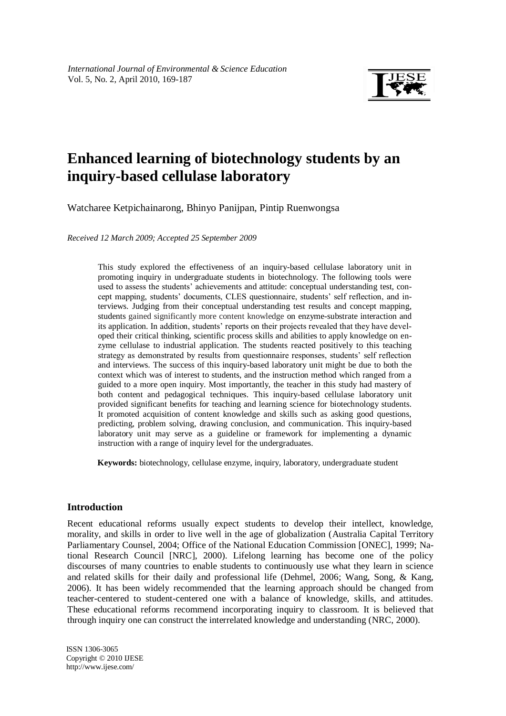

# **Enhanced learning of biotechnology students by an inquiry-based cellulase laboratory**

Watcharee Ketpichainarong, Bhinyo Panijpan, Pintip Ruenwongsa

*Received 12 March 2009; Accepted 25 September 2009*

This study explored the effectiveness of an inquiry-based cellulase laboratory unit in promoting inquiry in undergraduate students in biotechnology. The following tools were used to assess the students' achievements and attitude: conceptual understanding test, concept mapping, students' documents, CLES questionnaire, students' self reflection, and interviews. Judging from their conceptual understanding test results and concept mapping, students gained significantly more content knowledge on enzyme-substrate interaction and its application. In addition, students' reports on their projects revealed that they have developed their critical thinking, scientific process skills and abilities to apply knowledge on enzyme cellulase to industrial application. The students reacted positively to this teaching strategy as demonstrated by results from questionnaire responses, students' self reflection and interviews. The success of this inquiry-based laboratory unit might be due to both the context which was of interest to students, and the instruction method which ranged from a guided to a more open inquiry. Most importantly, the teacher in this study had mastery of both content and pedagogical techniques. This inquiry-based cellulase laboratory unit provided significant benefits for teaching and learning science for biotechnology students. It promoted acquisition of content knowledge and skills such as asking good questions, predicting, problem solving, drawing conclusion, and communication. This inquiry-based laboratory unit may serve as a guideline or framework for implementing a dynamic instruction with a range of inquiry level for the undergraduates.

**Keywords:** biotechnology, cellulase enzyme, inquiry, laboratory, undergraduate student

## **Introduction**

Recent educational reforms usually expect students to develop their intellect, knowledge, morality, and skills in order to live well in the age of globalization (Australia Capital Territory Parliamentary Counsel, 2004; Office of the National Education Commission [ONEC], 1999; National Research Council [NRC], 2000). Lifelong learning has become one of the policy discourses of many countries to enable students to continuously use what they learn in science and related skills for their daily and professional life (Dehmel, 2006; Wang, Song, & Kang, 2006). It has been widely recommended that the learning approach should be changed from teacher-centered to student-centered one with a balance of knowledge, skills, and attitudes. These educational reforms recommend incorporating inquiry to classroom. It is believed that through inquiry one can construct the interrelated knowledge and understanding (NRC, 2000).

fgjkl ISSN 1306-3065 Copyright © 2010 IJESE <http://www.ijese.com/>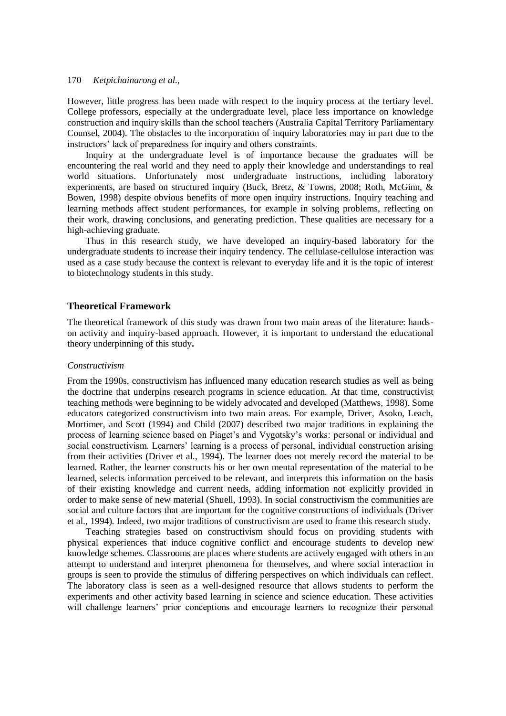However, little progress has been made with respect to the inquiry process at the tertiary level. College professors, especially at the undergraduate level, place less importance on knowledge construction and inquiry skills than the school teachers (Australia Capital Territory Parliamentary Counsel, 2004). The obstacles to the incorporation of inquiry laboratories may in part due to the instructors' lack of preparedness for inquiry and others constraints.

Inquiry at the undergraduate level is of importance because the graduates will be encountering the real world and they need to apply their knowledge and understandings to real world situations. Unfortunately most undergraduate instructions, including laboratory experiments, are based on structured inquiry (Buck, Bretz, & Towns, 2008; Roth, McGinn, & Bowen, 1998) despite obvious benefits of more open inquiry instructions. Inquiry teaching and learning methods affect student performances, for example in solving problems, reflecting on their work, drawing conclusions, and generating prediction. These qualities are necessary for a high-achieving graduate.

Thus in this research study, we have developed an inquiry-based laboratory for the undergraduate students to increase their inquiry tendency. The cellulase-cellulose interaction was used as a case study because the context is relevant to everyday life and it is the topic of interest to biotechnology students in this study.

## **Theoretical Framework**

The theoretical framework of this study was drawn from two main areas of the literature: handson activity and inquiry-based approach. However, it is important to understand the educational theory underpinning of this study**.**

#### *Constructivism*

From the 1990s, constructivism has influenced many education research studies as well as being the doctrine that underpins research programs in science education. At that time, constructivist teaching methods were beginning to be widely advocated and developed (Matthews, 1998). Some educators categorized constructivism into two main areas. For example, Driver, Asoko, Leach, Mortimer, and Scott (1994) and Child (2007) described two major traditions in explaining the process of learning science based on Piaget's and Vygotsky's works: personal or individual and social constructivism. Learners' learning is a process of personal, individual construction arising from their activities (Driver et al., 1994). The learner does not merely record the material to be learned. Rather, the learner constructs his or her own mental representation of the material to be learned, selects information perceived to be relevant, and interprets this information on the basis of their existing knowledge and current needs, adding information not explicitly provided in order to make sense of new material (Shuell, 1993). In social constructivism the communities are social and culture factors that are important for the cognitive constructions of individuals (Driver et al., 1994). Indeed, two major traditions of constructivism are used to frame this research study.

Teaching strategies based on constructivism should focus on providing students with physical experiences that induce cognitive conflict and encourage students to develop new knowledge schemes. Classrooms are places where students are actively engaged with others in an attempt to understand and interpret phenomena for themselves, and where social interaction in groups is seen to provide the stimulus of differing perspectives on which individuals can reflect. The laboratory class is seen as a well-designed resource that allows students to perform the experiments and other activity based learning in science and science education. These activities will challenge learners' prior conceptions and encourage learners to recognize their personal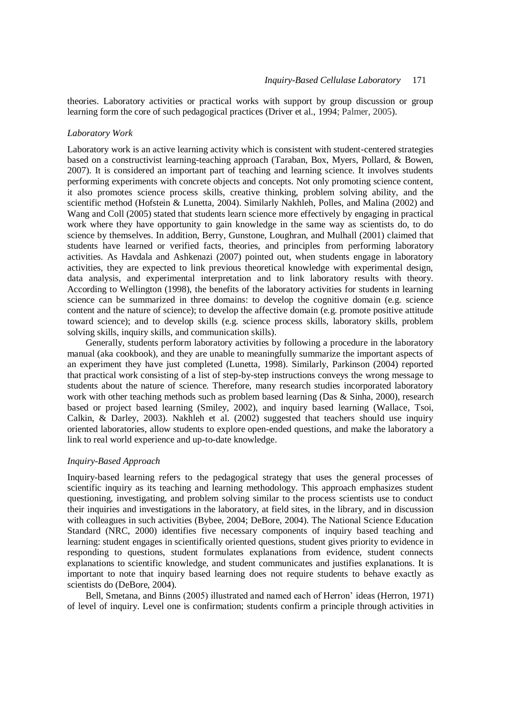theories. Laboratory activities or practical works with support by group discussion or group learning form the core of such pedagogical practices (Driver et al., 1994; Palmer, 2005).

#### *Laboratory Work*

Laboratory work is an active learning activity which is consistent with student-centered strategies based on a constructivist learning-teaching approach (Taraban, Box, Myers, Pollard, & Bowen, 2007). It is considered an important part of teaching and learning science. It involves students performing experiments with concrete objects and concepts. Not only promoting science content, it also promotes science process skills, creative thinking, problem solving ability, and the scientific method (Hofstein & Lunetta, 2004). Similarly Nakhleh, Polles, and Malina (2002) and Wang and Coll (2005) stated that students learn science more effectively by engaging in practical work where they have opportunity to gain knowledge in the same way as scientists do, to do science by themselves. In addition, Berry, Gunstone, Loughran, and Mulhall (2001) claimed that students have learned or verified facts, theories, and principles from performing laboratory activities. As Havdala and Ashkenazi (2007) pointed out, when students engage in laboratory activities, they are expected to link previous theoretical knowledge with experimental design, data analysis, and experimental interpretation and to link laboratory results with theory. According to Wellington (1998), the benefits of the laboratory activities for students in learning science can be summarized in three domains: to develop the cognitive domain (e.g. science content and the nature of science); to develop the affective domain (e.g. promote positive attitude toward science); and to develop skills (e.g. science process skills, laboratory skills, problem solving skills, inquiry skills, and communication skills).

Generally, students perform laboratory activities by following a procedure in the laboratory manual (aka cookbook), and they are unable to meaningfully summarize the important aspects of an experiment they have just completed (Lunetta, 1998). Similarly, Parkinson (2004) reported that practical work consisting of a list of step-by-step instructions conveys the wrong message to students about the nature of science. Therefore, many research studies incorporated laboratory work with other teaching methods such as problem based learning (Das & Sinha, 2000), research based or project based learning (Smiley, 2002), and inquiry based learning (Wallace, Tsoi, Calkin, & Darley, 2003). Nakhleh et al. (2002) suggested that teachers should use inquiry oriented laboratories, allow students to explore open-ended questions, and make the laboratory a link to real world experience and up-to-date knowledge.

#### *Inquiry-Based Approach*

Inquiry-based learning refers to the pedagogical strategy that uses the general processes of scientific inquiry as its teaching and learning methodology. This approach emphasizes student questioning, investigating, and problem solving similar to the process scientists use to conduct their inquiries and investigations in the laboratory, at field sites, in the library, and in discussion with colleagues in such activities (Bybee, 2004; DeBore, 2004). The National Science Education Standard (NRC, 2000) identifies five necessary components of inquiry based teaching and learning: student engages in scientifically oriented questions, student gives priority to evidence in responding to questions, student formulates explanations from evidence, student connects explanations to scientific knowledge, and student communicates and justifies explanations. It is important to note that inquiry based learning does not require students to behave exactly as scientists do (DeBore, 2004).

Bell, Smetana, and Binns (2005) illustrated and named each of Herron' ideas (Herron, 1971) of level of inquiry. Level one is confirmation; students confirm a principle through activities in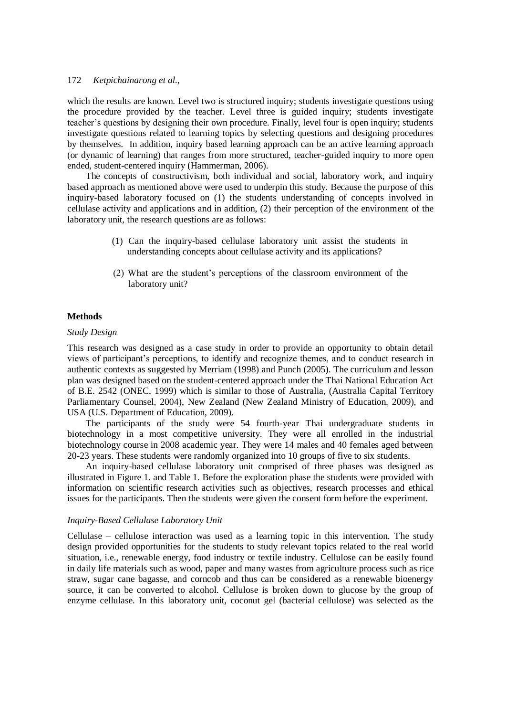which the results are known. Level two is structured inquiry; students investigate questions using the procedure provided by the teacher. Level three is guided inquiry; students investigate teacher's questions by designing their own procedure. Finally, level four is open inquiry; students investigate questions related to learning topics by selecting questions and designing procedures by themselves. In addition, inquiry based learning approach can be an active learning approach (or dynamic of learning) that ranges from more structured, teacher-guided inquiry to more open ended, student-centered inquiry (Hammerman, 2006).

The concepts of constructivism, both individual and social, laboratory work, and inquiry based approach as mentioned above were used to underpin this study. Because the purpose of this inquiry-based laboratory focused on (1) the students understanding of concepts involved in cellulase activity and applications and in addition, (2) their perception of the environment of the laboratory unit, the research questions are as follows:

- (1) Can the inquiry-based cellulase laboratory unit assist the students in understanding concepts about cellulase activity and its applications?
- (2) What are the student's perceptions of the classroom environment of the laboratory unit?

#### **Methods**

#### *Study Design*

This research was designed as a case study in order to provide an opportunity to obtain detail views of participant's perceptions, to identify and recognize themes, and to conduct research in authentic contexts as suggested by Merriam (1998) and Punch (2005). The curriculum and lesson plan was designed based on the student-centered approach under the Thai National Education Act of B.E. 2542 (ONEC, 1999) which is similar to those of Australia, (Australia Capital Territory Parliamentary Counsel, 2004), New Zealand (New Zealand Ministry of Education, 2009), and USA (U.S. Department of Education, 2009).

The participants of the study were 54 fourth-year Thai undergraduate students in biotechnology in a most competitive university. They were all enrolled in the industrial biotechnology course in 2008 academic year. They were 14 males and 40 females aged between 20-23 years. These students were randomly organized into 10 groups of five to six students.

An inquiry-based cellulase laboratory unit comprised of three phases was designed as illustrated in Figure 1. and Table 1. Before the exploration phase the students were provided with information on scientific research activities such as objectives, research processes and ethical issues for the participants. Then the students were given the consent form before the experiment.

#### *Inquiry-Based Cellulase Laboratory Unit*

Cellulase – cellulose interaction was used as a learning topic in this intervention. The study design provided opportunities for the students to study relevant topics related to the real world situation, i.e., renewable energy, food industry or textile industry. Cellulose can be easily found in daily life materials such as wood, paper and many wastes from agriculture process such as rice straw, sugar cane bagasse, and corncob and thus can be considered as a renewable bioenergy source, it can be converted to alcohol. Cellulose is broken down to glucose by the group of enzyme cellulase. In this laboratory unit, coconut gel (bacterial cellulose) was selected as the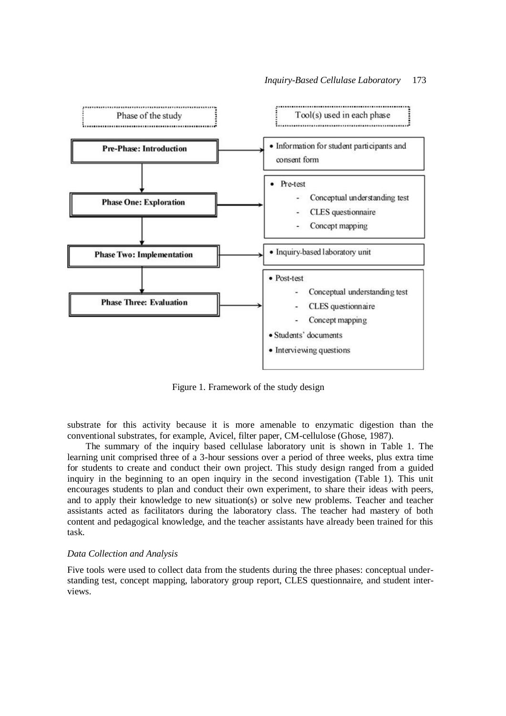

Figure 1. Framework of the study design

substrate for this activity because it is more amenable to enzymatic digestion than the conventional substrates, for example, Avicel, filter paper, CM-cellulose (Ghose, 1987).

The summary of the inquiry based cellulase laboratory unit is shown in Table 1. The learning unit comprised three of a 3-hour sessions over a period of three weeks, plus extra time for students to create and conduct their own project. This study design ranged from a guided inquiry in the beginning to an open inquiry in the second investigation (Table 1). This unit encourages students to plan and conduct their own experiment, to share their ideas with peers, and to apply their knowledge to new situation(s) or solve new problems. Teacher and teacher assistants acted as facilitators during the laboratory class. The teacher had mastery of both content and pedagogical knowledge, and the teacher assistants have already been trained for this task.

## *Data Collection and Analysis*

Five tools were used to collect data from the students during the three phases: conceptual understanding test, concept mapping, laboratory group report, CLES questionnaire, and student interviews.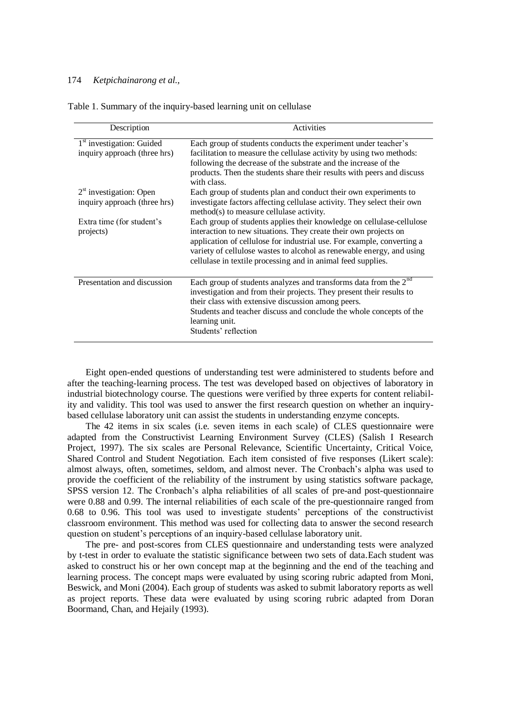| Description                                                           | <b>Activities</b>                                                                                                                                                                                                                                                                                                                                            |
|-----------------------------------------------------------------------|--------------------------------------------------------------------------------------------------------------------------------------------------------------------------------------------------------------------------------------------------------------------------------------------------------------------------------------------------------------|
| 1 <sup>st</sup> investigation: Guided<br>inquiry approach (three hrs) | Each group of students conducts the experiment under teacher's<br>facilitation to measure the cellulase activity by using two methods:<br>following the decrease of the substrate and the increase of the<br>products. Then the students share their results with peers and discuss<br>with class.                                                           |
| $2st$ investigation: Open<br>inquiry approach (three hrs)             | Each group of students plan and conduct their own experiments to<br>investigate factors affecting cellulase activity. They select their own<br>method(s) to measure cellulase activity.                                                                                                                                                                      |
| Extra time (for student's<br>projects)                                | Each group of students applies their knowledge on cellulase-cellulose<br>interaction to new situations. They create their own projects on<br>application of cellulose for industrial use. For example, converting a<br>variety of cellulose wastes to alcohol as renewable energy, and using<br>cellulase in textile processing and in animal feed supplies. |
| Presentation and discussion                                           | Each group of students analyzes and transforms data from the $2nd$<br>investigation and from their projects. They present their results to<br>their class with extensive discussion among peers.<br>Students and teacher discuss and conclude the whole concepts of the<br>learning unit.<br>Students' reflection                                            |

Table 1. Summary of the inquiry-based learning unit on cellulase

Eight open-ended questions of understanding test were administered to students before and after the teaching-learning process. The test was developed based on objectives of laboratory in industrial biotechnology course. The questions were verified by three experts for content reliability and validity. This tool was used to answer the first research question on whether an inquirybased cellulase laboratory unit can assist the students in understanding enzyme concepts.

The 42 items in six scales (i.e. seven items in each scale) of CLES questionnaire were adapted from the Constructivist Learning Environment Survey (CLES) (Salish I Research Project, 1997). The six scales are Personal Relevance, Scientific Uncertainty, Critical Voice, Shared Control and Student Negotiation. Each item consisted of five responses (Likert scale): almost always, often, sometimes, seldom, and almost never. The Cronbach's alpha was used to provide the coefficient of the reliability of the instrument by using statistics software package, SPSS version 12. The Cronbach's alpha reliabilities of all scales of pre-and post-questionnaire were 0.88 and 0.99. The internal reliabilities of each scale of the pre-questionnaire ranged from 0.68 to 0.96. This tool was used to investigate students' perceptions of the constructivist classroom environment. This method was used for collecting data to answer the second research question on student's perceptions of an inquiry-based cellulase laboratory unit.

The pre- and post-scores from CLES questionnaire and understanding tests were analyzed by t-test in order to evaluate the statistic significance between two sets of data.Each student was asked to construct his or her own concept map at the beginning and the end of the teaching and learning process. The concept maps were evaluated by using scoring rubric adapted from Moni, Beswick, and Moni (2004). Each group of students was asked to submit laboratory reports as well as project reports. These data were evaluated by using scoring rubric adapted from Doran Boormand, Chan, and Hejaily (1993).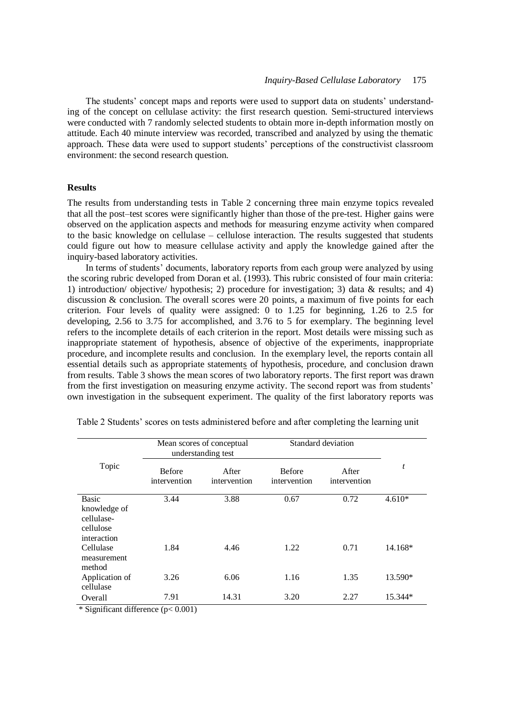The students' concept maps and reports were used to support data on students' understanding of the concept on cellulase activity: the first research question. Semi-structured interviews were conducted with 7 randomly selected students to obtain more in-depth information mostly on attitude. Each 40 minute interview was recorded, transcribed and analyzed by using the thematic approach. These data were used to support students' perceptions of the constructivist classroom environment: the second research question.

## **Results**

The results from understanding tests in Table 2 concerning three main enzyme topics revealed that all the post–test scores were significantly higher than those of the pre-test. Higher gains were observed on the application aspects and methods for measuring enzyme activity when compared to the basic knowledge on cellulase – cellulose interaction. The results suggested that students could figure out how to measure cellulase activity and apply the knowledge gained after the inquiry-based laboratory activities.

In terms of students' documents, laboratory reports from each group were analyzed by using the scoring rubric developed from Doran et al. (1993). This rubric consisted of four main criteria: 1) introduction/ objective/ hypothesis; 2) procedure for investigation; 3) data & results; and 4) discussion  $\&$  conclusion. The overall scores were 20 points, a maximum of five points for each criterion. Four levels of quality were assigned: 0 to 1.25 for beginning, 1.26 to 2.5 for developing, 2.56 to 3.75 for accomplished, and 3.76 to 5 for exemplary. The beginning level refers to the incomplete details of each criterion in the report. Most details were missing such as inappropriate statement of hypothesis, absence of objective of the experiments, inappropriate procedure, and incomplete results and conclusion. In the exemplary level, the reports contain all essential details such as appropriate statements of hypothesis, procedure, and conclusion drawn from results. Table 3 shows the mean scores of two laboratory reports. The first report was drawn from the first investigation on measuring enzyme activity. The second report was from students' own investigation in the subsequent experiment. The quality of the first laboratory reports was

|                                                        | Mean scores of conceptual<br>understanding test |                       | Standard deviation            |                       |          |
|--------------------------------------------------------|-------------------------------------------------|-----------------------|-------------------------------|-----------------------|----------|
| Topic                                                  | <b>Before</b><br>intervention                   | After<br>intervention | <b>Before</b><br>intervention | After<br>intervention | t        |
| <b>Basic</b>                                           | 3.44                                            | 3.88                  | 0.67                          | 0.72                  | $4.610*$ |
| knowledge of<br>cellulase-<br>cellulose<br>interaction |                                                 |                       |                               |                       |          |
| Cellulase<br>measurement<br>method                     | 1.84                                            | 4.46                  | 1.22                          | 0.71                  | 14.168*  |
| Application of<br>cellulase                            | 3.26                                            | 6.06                  | 1.16                          | 1.35                  | 13.590*  |
| Overall                                                | 7.91                                            | 14.31                 | 3.20                          | 2.27                  | 15.344*  |

Table 2 Students' scores on tests administered before and after completing the learning unit

\* Significant difference (p< 0.001)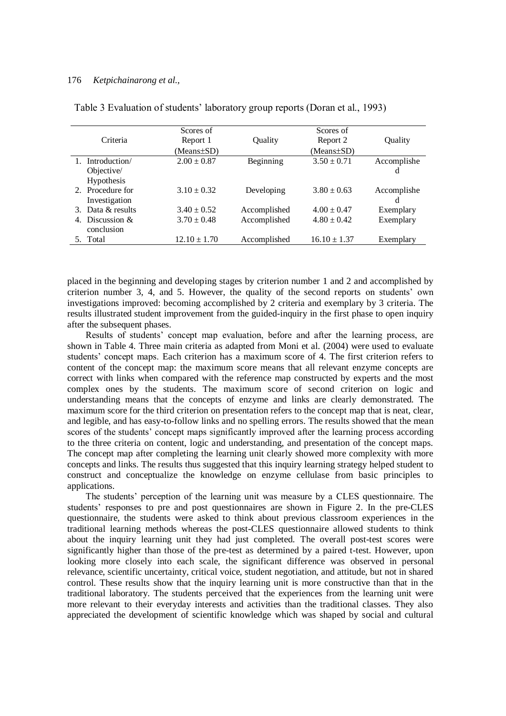|                   | Scores of        |              | Scores of        |             |
|-------------------|------------------|--------------|------------------|-------------|
| Criteria          | Report 1         | Quality      | Report 2         | Quality     |
|                   | $(Means \pm SD)$ |              | (Means±SD)       |             |
| 1. Introduction/  | $2.00 \pm 0.87$  | Beginning    | $3.50 \pm 0.71$  | Accomplishe |
| Objective/        |                  |              |                  | d           |
| Hypothesis        |                  |              |                  |             |
| 2. Procedure for  | $3.10 \pm 0.32$  | Developing   | $3.80 \pm 0.63$  | Accomplishe |
| Investigation     |                  |              |                  | d           |
| 3. Data & results | $3.40 \pm 0.52$  | Accomplished | $4.00 \pm 0.47$  | Exemplary   |
| 4. Discussion &   | $3.70 \pm 0.48$  | Accomplished | $4.80 \pm 0.42$  | Exemplary   |
| conclusion        |                  |              |                  |             |
| 5. Total          | $12.10 \pm 1.70$ | Accomplished | $16.10 \pm 1.37$ | Exemplary   |

Table 3 Evaluation of students' laboratory group reports (Doran et al., 1993)

placed in the beginning and developing stages by criterion number 1 and 2 and accomplished by criterion number 3, 4, and 5. However, the quality of the second reports on students' own investigations improved: becoming accomplished by 2 criteria and exemplary by 3 criteria. The results illustrated student improvement from the guided-inquiry in the first phase to open inquiry after the subsequent phases.

Results of students' concept map evaluation, before and after the learning process, are shown in Table 4. Three main criteria as adapted from Moni et al. (2004) were used to evaluate students' concept maps. Each criterion has a maximum score of 4. The first criterion refers to content of the concept map: the maximum score means that all relevant enzyme concepts are correct with links when compared with the reference map constructed by experts and the most complex ones by the students. The maximum score of second criterion on logic and understanding means that the concepts of enzyme and links are clearly demonstrated. The maximum score for the third criterion on presentation refers to the concept map that is neat, clear, and legible, and has easy-to-follow links and no spelling errors. The results showed that the mean scores of the students' concept maps significantly improved after the learning process according to the three criteria on content, logic and understanding, and presentation of the concept maps. The concept map after completing the learning unit clearly showed more complexity with more concepts and links. The results thus suggested that this inquiry learning strategy helped student to construct and conceptualize the knowledge on enzyme cellulase from basic principles to applications.

The students' perception of the learning unit was measure by a CLES questionnaire. The students' responses to pre and post questionnaires are shown in Figure 2. In the pre-CLES questionnaire, the students were asked to think about previous classroom experiences in the traditional learning methods whereas the post-CLES questionnaire allowed students to think about the inquiry learning unit they had just completed. The overall post-test scores were significantly higher than those of the pre-test as determined by a paired t-test. However, upon looking more closely into each scale, the significant difference was observed in personal relevance, scientific uncertainty, critical voice, student negotiation, and attitude, but not in shared control. These results show that the inquiry learning unit is more constructive than that in the traditional laboratory. The students perceived that the experiences from the learning unit were more relevant to their everyday interests and activities than the traditional classes. They also appreciated the development of scientific knowledge which was shaped by social and cultural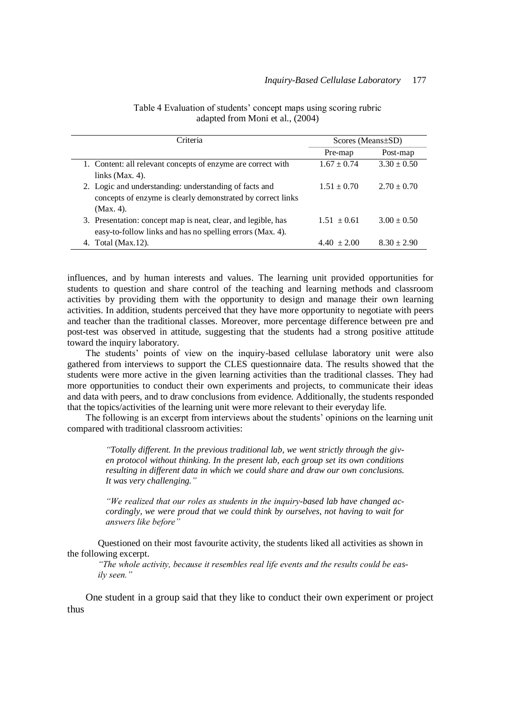| Criteria                                                      | Scores (Means $\pm$ SD) |                 |  |
|---------------------------------------------------------------|-------------------------|-----------------|--|
|                                                               | Pre-map                 | Post-map        |  |
| 1. Content: all relevant concepts of enzyme are correct with  | $1.67 \pm 0.74$         | $3.30 \pm 0.50$ |  |
| links $(Max. 4)$ .                                            |                         |                 |  |
| 2. Logic and understanding: understanding of facts and        | $1.51 \pm 0.70$         | $2.70 \pm 0.70$ |  |
| concepts of enzyme is clearly demonstrated by correct links   |                         |                 |  |
| (Max. 4).                                                     |                         |                 |  |
| 3. Presentation: concept map is neat, clear, and legible, has | $1.51 \pm 0.61$         | $3.00 \pm 0.50$ |  |
| easy-to-follow links and has no spelling errors (Max. 4).     |                         |                 |  |
| Total (Max.12).                                               | $4.40 \pm 2.00$         | $8.30 \pm 2.90$ |  |

Table 4 Evaluation of students' concept maps using scoring rubric adapted from Moni et al., (2004)

influences, and by human interests and values. The learning unit provided opportunities for students to question and share control of the teaching and learning methods and classroom activities by providing them with the opportunity to design and manage their own learning activities. In addition, students perceived that they have more opportunity to negotiate with peers and teacher than the traditional classes. Moreover, more percentage difference between pre and post-test was observed in attitude, suggesting that the students had a strong positive attitude toward the inquiry laboratory.

The students' points of view on the inquiry-based cellulase laboratory unit were also gathered from interviews to support the CLES questionnaire data. The results showed that the students were more active in the given learning activities than the traditional classes. They had more opportunities to conduct their own experiments and projects, to communicate their ideas and data with peers, and to draw conclusions from evidence. Additionally, the students responded that the topics/activities of the learning unit were more relevant to their everyday life.

The following is an excerpt from interviews about the students' opinions on the learning unit compared with traditional classroom activities:

> *"Totally different. In the previous traditional lab, we went strictly through the given protocol without thinking. In the present lab, each group set its own conditions resulting in different data in which we could share and draw our own conclusions. It was very challenging."*

> *"We realized that our roles as students in the inquiry-based lab have changed accordingly, we were proud that we could think by ourselves, not having to wait for answers like before"*

Questioned on their most favourite activity, the students liked all activities as shown in the following excerpt.

*"The whole activity, because it resembles real life events and the results could be easily seen."*

One student in a group said that they like to conduct their own experiment or project thus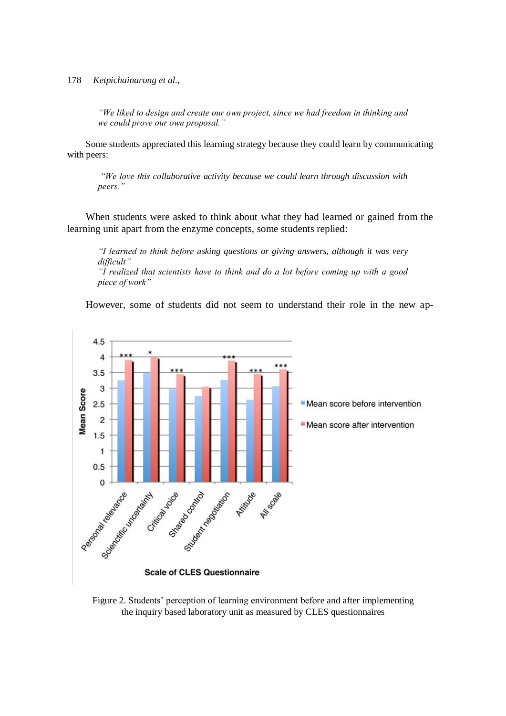*"We liked to design and create our own project, since we had freedom in thinking and we could prove our own proposal."*

Some students appreciated this learning strategy because they could learn by communicating with peers:

*"We love this collaborative activity because we could learn through discussion with peers."*

When students were asked to think about what they had learned or gained from the learning unit apart from the enzyme concepts, some students replied:

*"I learned to think before asking questions or giving answers, although it was very difficult" "I realized that scientists have to think and do a lot before coming up with a good piece of work"*

However, some of students did not seem to understand their role in the new ap-



Figure 2. Students' perception of learning environment before and after implementing the inquiry based laboratory unit as measured by CLES questionnaires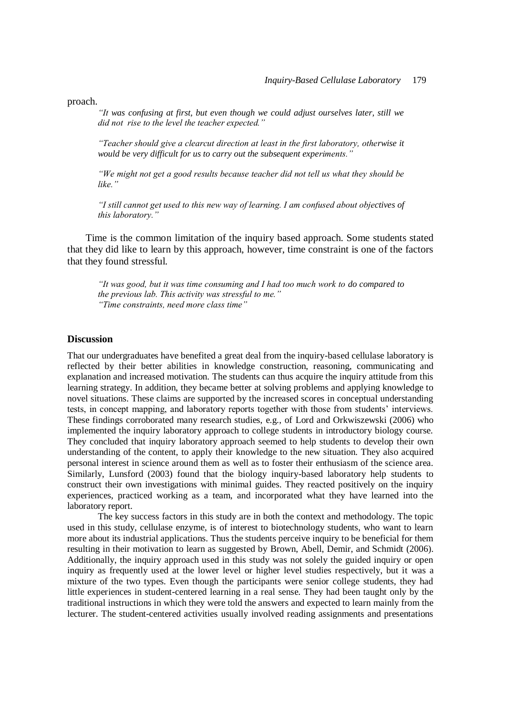proach.

*"It was confusing at first, but even though we could adjust ourselves later, still we did not rise to the level the teacher expected."*

*"Teacher should give a clearcut direction at least in the first laboratory, otherwise it would be very difficult for us to carry out the subsequent experiments."*

*"We might not get a good results because teacher did not tell us what they should be like."* 

*"I still cannot get used to this new way of learning. I am confused about objectives of this laboratory."*

Time is the common limitation of the inquiry based approach. Some students stated that they did like to learn by this approach, however, time constraint is one of the factors that they found stressful.

*"It was good, but it was time consuming and I had too much work to do compared to the previous lab. This activity was stressful to me." "Time constraints, need more class time"*

#### **Discussion**

That our undergraduates have benefited a great deal from the inquiry-based cellulase laboratory is reflected by their better abilities in knowledge construction, reasoning, communicating and explanation and increased motivation. The students can thus acquire the inquiry attitude from this learning strategy. In addition, they became better at solving problems and applying knowledge to novel situations. These claims are supported by the increased scores in conceptual understanding tests, in concept mapping, and laboratory reports together with those from students' interviews. These findings corroborated many research studies, e.g., of Lord and Orkwiszewski (2006) who implemented the inquiry laboratory approach to college students in introductory biology course. They concluded that inquiry laboratory approach seemed to help students to develop their own understanding of the content, to apply their knowledge to the new situation. They also acquired personal interest in science around them as well as to foster their enthusiasm of the science area. Similarly, Lunsford (2003) found that the biology inquiry-based laboratory help students to construct their own investigations with minimal guides. They reacted positively on the inquiry experiences, practiced working as a team, and incorporated what they have learned into the laboratory report.

The key success factors in this study are in both the context and methodology. The topic used in this study, cellulase enzyme, is of interest to biotechnology students, who want to learn more about its industrial applications. Thus the students perceive inquiry to be beneficial for them resulting in their motivation to learn as suggested by Brown, Abell, Demir, and Schmidt (2006). Additionally, the inquiry approach used in this study was not solely the guided inquiry or open inquiry as frequently used at the lower level or higher level studies respectively, but it was a mixture of the two types. Even though the participants were senior college students, they had little experiences in student-centered learning in a real sense. They had been taught only by the traditional instructions in which they were told the answers and expected to learn mainly from the lecturer. The student-centered activities usually involved reading assignments and presentations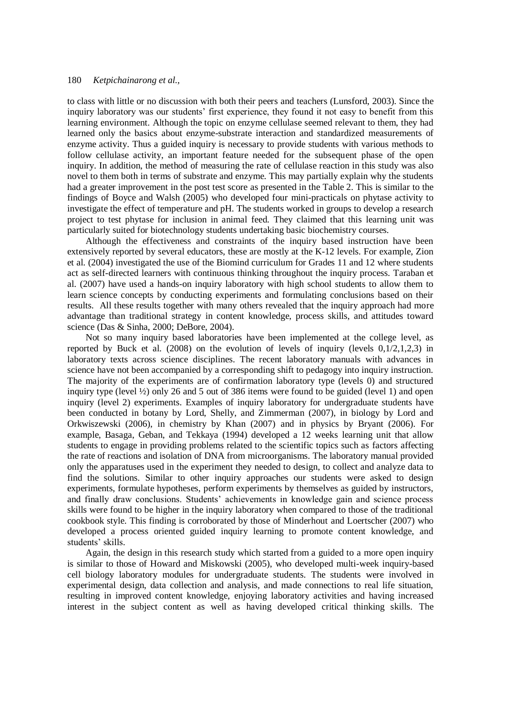to class with little or no discussion with both their peers and teachers (Lunsford, 2003). Since the inquiry laboratory was our students' first experience, they found it not easy to benefit from this learning environment. Although the topic on enzyme cellulase seemed relevant to them, they had learned only the basics about enzyme-substrate interaction and standardized measurements of enzyme activity. Thus a guided inquiry is necessary to provide students with various methods to follow cellulase activity, an important feature needed for the subsequent phase of the open inquiry. In addition, the method of measuring the rate of cellulase reaction in this study was also novel to them both in terms of substrate and enzyme. This may partially explain why the students had a greater improvement in the post test score as presented in the Table 2. This is similar to the findings of Boyce and Walsh (2005) who developed four mini-practicals on phytase activity to investigate the effect of temperature and pH. The students worked in groups to develop a research project to test phytase for inclusion in animal feed. They claimed that this learning unit was particularly suited for biotechnology students undertaking basic biochemistry courses.

Although the effectiveness and constraints of the inquiry based instruction have been extensively reported by several educators, these are mostly at the K-12 levels. For example, Zion et al. (2004) investigated the use of the Biomind curriculum for Grades 11 and 12 where students act as self-directed learners with continuous thinking throughout the inquiry process. Taraban et al. (2007) have used a hands-on inquiry laboratory with high school students to allow them to learn science concepts by conducting experiments and formulating conclusions based on their results. All these results together with many others revealed that the inquiry approach had more advantage than traditional strategy in content knowledge, process skills, and attitudes toward science (Das & Sinha, 2000; DeBore, 2004).

Not so many inquiry based laboratories have been implemented at the college level, as reported by Buck et al.  $(2008)$  on the evolution of levels of inquiry (levels  $0,1/2,1,2,3$ ) in laboratory texts across science disciplines. The recent laboratory manuals with advances in science have not been accompanied by a corresponding shift to pedagogy into inquiry instruction. The majority of the experiments are of confirmation laboratory type (levels 0) and structured inquiry type (level  $\frac{1}{2}$ ) only 26 and 5 out of 386 items were found to be guided (level 1) and open inquiry (level 2) experiments. Examples of inquiry laboratory for undergraduate students have been conducted in botany by Lord, Shelly, and Zimmerman (2007), in biology by Lord and Orkwiszewski (2006), in chemistry by Khan (2007) and in physics by Bryant (2006). For example, Basaga, Geban, and Tekkaya (1994) developed a 12 weeks learning unit that allow students to engage in providing problems related to the scientific topics such as factors affecting the rate of reactions and isolation of DNA from microorganisms. The laboratory manual provided only the apparatuses used in the experiment they needed to design, to collect and analyze data to find the solutions. Similar to other inquiry approaches our students were asked to design experiments, formulate hypotheses, perform experiments by themselves as guided by instructors, and finally draw conclusions. Students' achievements in knowledge gain and science process skills were found to be higher in the inquiry laboratory when compared to those of the traditional cookbook style. This finding is corroborated by those of Minderhout and Loertscher (2007) who developed a process oriented guided inquiry learning to promote content knowledge, and students' skills.

Again, the design in this research study which started from a guided to a more open inquiry is similar to those of Howard and Miskowski (2005), who developed multi-week inquiry-based cell biology laboratory modules for undergraduate students. The students were involved in experimental design, data collection and analysis, and made connections to real life situation, resulting in improved content knowledge, enjoying laboratory activities and having increased interest in the subject content as well as having developed critical thinking skills. The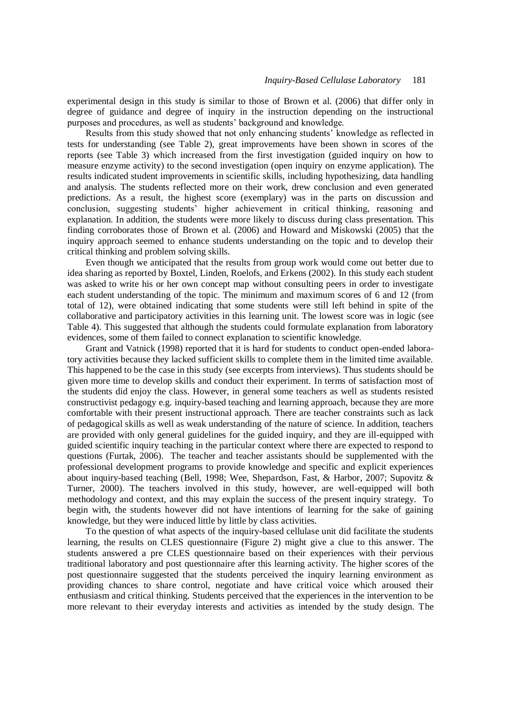experimental design in this study is similar to those of Brown et al. (2006) that differ only in degree of guidance and degree of inquiry in the instruction depending on the instructional purposes and procedures, as well as students' background and knowledge.

Results from this study showed that not only enhancing students' knowledge as reflected in tests for understanding (see Table 2), great improvements have been shown in scores of the reports (see Table 3) which increased from the first investigation (guided inquiry on how to measure enzyme activity) to the second investigation (open inquiry on enzyme application). The results indicated student improvements in scientific skills, including hypothesizing, data handling and analysis. The students reflected more on their work, drew conclusion and even generated predictions. As a result, the highest score (exemplary) was in the parts on discussion and conclusion, suggesting students' higher achievement in critical thinking, reasoning and explanation. In addition, the students were more likely to discuss during class presentation. This finding corroborates those of Brown et al. (2006) and Howard and Miskowski (2005) that the inquiry approach seemed to enhance students understanding on the topic and to develop their critical thinking and problem solving skills.

Even though we anticipated that the results from group work would come out better due to idea sharing as reported by Boxtel, Linden, Roelofs, and Erkens (2002). In this study each student was asked to write his or her own concept map without consulting peers in order to investigate each student understanding of the topic. The minimum and maximum scores of 6 and 12 (from total of 12), were obtained indicating that some students were still left behind in spite of the collaborative and participatory activities in this learning unit. The lowest score was in logic (see Table 4). This suggested that although the students could formulate explanation from laboratory evidences, some of them failed to connect explanation to scientific knowledge.

Grant and Vatnick (1998) reported that it is hard for students to conduct open-ended laboratory activities because they lacked sufficient skills to complete them in the limited time available. This happened to be the case in this study (see excerpts from interviews). Thus students should be given more time to develop skills and conduct their experiment. In terms of satisfaction most of the students did enjoy the class. However, in general some teachers as well as students resisted constructivist pedagogy e.g. inquiry-based teaching and learning approach, because they are more comfortable with their present instructional approach. There are teacher constraints such as lack of pedagogical skills as well as weak understanding of the nature of science. In addition, teachers are provided with only general guidelines for the guided inquiry, and they are ill-equipped with guided scientific inquiry teaching in the particular context where there are expected to respond to questions (Furtak, 2006). The teacher and teacher assistants should be supplemented with the professional development programs to provide knowledge and specific and explicit experiences about inquiry-based teaching (Bell, 1998; Wee, Shepardson, Fast, & Harbor, 2007; Supovitz & Turner, 2000). The teachers involved in this study, however, are well-equipped will both methodology and context, and this may explain the success of the present inquiry strategy. To begin with, the students however did not have intentions of learning for the sake of gaining knowledge, but they were induced little by little by class activities.

To the question of what aspects of the inquiry-based cellulase unit did facilitate the students learning, the results on CLES questionnaire (Figure 2) might give a clue to this answer. The students answered a pre CLES questionnaire based on their experiences with their pervious traditional laboratory and post questionnaire after this learning activity. The higher scores of the post questionnaire suggested that the students perceived the inquiry learning environment as providing chances to share control, negotiate and have critical voice which aroused their enthusiasm and critical thinking. Students perceived that the experiences in the intervention to be more relevant to their everyday interests and activities as intended by the study design. The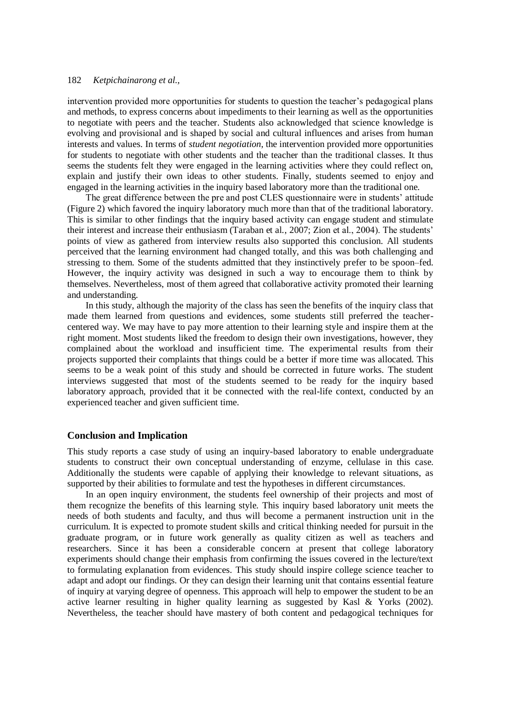intervention provided more opportunities for students to question the teacher's pedagogical plans and methods, to express concerns about impediments to their learning as well as the opportunities to negotiate with peers and the teacher. Students also acknowledged that science knowledge is evolving and provisional and is shaped by social and cultural influences and arises from human interests and values. In terms of *student negotiation*, the intervention provided more opportunities for students to negotiate with other students and the teacher than the traditional classes. It thus seems the students felt they were engaged in the learning activities where they could reflect on, explain and justify their own ideas to other students. Finally, students seemed to enjoy and engaged in the learning activities in the inquiry based laboratory more than the traditional one.

The great difference between the pre and post CLES questionnaire were in students' attitude (Figure 2) which favored the inquiry laboratory much more than that of the traditional laboratory. This is similar to other findings that the inquiry based activity can engage student and stimulate their interest and increase their enthusiasm (Taraban et al., 2007; Zion et al., 2004). The students' points of view as gathered from interview results also supported this conclusion. All students perceived that the learning environment had changed totally, and this was both challenging and stressing to them. Some of the students admitted that they instinctively prefer to be spoon–fed. However, the inquiry activity was designed in such a way to encourage them to think by themselves. Nevertheless, most of them agreed that collaborative activity promoted their learning and understanding.

In this study, although the majority of the class has seen the benefits of the inquiry class that made them learned from questions and evidences, some students still preferred the teachercentered way. We may have to pay more attention to their learning style and inspire them at the right moment. Most students liked the freedom to design their own investigations, however, they complained about the workload and insufficient time. The experimental results from their projects supported their complaints that things could be a better if more time was allocated. This seems to be a weak point of this study and should be corrected in future works. The student interviews suggested that most of the students seemed to be ready for the inquiry based laboratory approach, provided that it be connected with the real-life context, conducted by an experienced teacher and given sufficient time.

## **Conclusion and Implication**

This study reports a case study of using an inquiry-based laboratory to enable undergraduate students to construct their own conceptual understanding of enzyme, cellulase in this case. Additionally the students were capable of applying their knowledge to relevant situations, as supported by their abilities to formulate and test the hypotheses in different circumstances.

In an open inquiry environment, the students feel ownership of their projects and most of them recognize the benefits of this learning style. This inquiry based laboratory unit meets the needs of both students and faculty, and thus will become a permanent instruction unit in the curriculum. It is expected to promote student skills and critical thinking needed for pursuit in the graduate program, or in future work generally as quality citizen as well as teachers and researchers. Since it has been a considerable concern at present that college laboratory experiments should change their emphasis from confirming the issues covered in the lecture/text to formulating explanation from evidences. This study should inspire college science teacher to adapt and adopt our findings. Or they can design their learning unit that contains essential feature of inquiry at varying degree of openness. This approach will help to empower the student to be an active learner resulting in higher quality learning as suggested by Kasl & Yorks (2002). Nevertheless, the teacher should have mastery of both content and pedagogical techniques for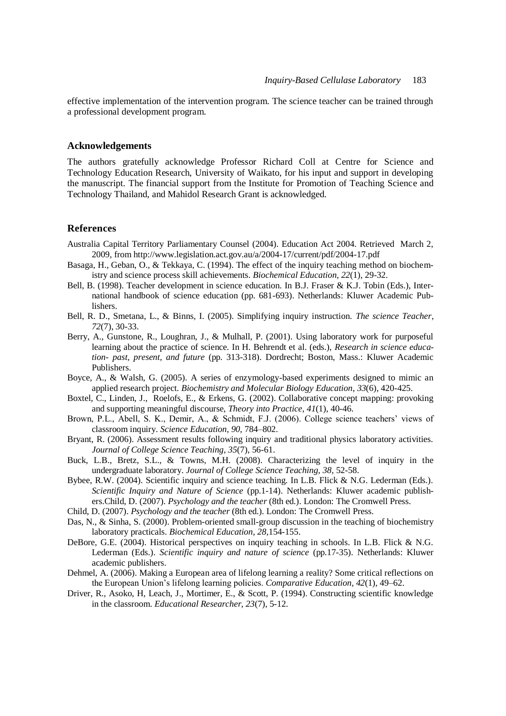effective implementation of the intervention program. The science teacher can be trained through a professional development program.

### **Acknowledgements**

The authors gratefully acknowledge Professor Richard Coll at Centre for Science and Technology Education Research, University of Waikato, for his input and support in developing the manuscript. The financial support from the Institute for Promotion of Teaching Science and Technology Thailand, and Mahidol Research Grant is acknowledged.

#### **References**

- Australia Capital Territory Parliamentary Counsel (2004). Education Act 2004. Retrieved March 2, 2009, from http://www.legislation.act.gov.au/a/2004-17/current/pdf/2004-17.pdf
- Basaga, H., Geban, O., & Tekkaya, C. (1994). The effect of the inquiry teaching method on biochemistry and science process skill achievements. *Biochemical Education, 22*(1), 29-32.
- Bell, B. (1998). Teacher development in science education. In B.J. Fraser & K.J. Tobin (Eds.), International handbook of science education (pp. 681-693). Netherlands: Kluwer Academic Publishers.
- Bell, R. D., Smetana, L., & Binns, I. (2005). Simplifying inquiry instruction. *The science Teacher, 72*(7), 30-33.
- Berry, A., Gunstone, R., Loughran, J., & Mulhall, P. (2001). Using laboratory work for purposeful learning about the practice of science. In H. Behrendt et al. (eds.), *Research in science education- past, present, and future* (pp. 313-318). Dordrecht; Boston, Mass.: Kluwer Academic Publishers.
- Boyce, A., & Walsh, G. (2005). A series of enzymology-based experiments designed to mimic an applied research project. *Biochemistry and Molecular Biology Education*, *33*(6), 420-425.
- Boxtel, C., Linden, J., Roelofs, E., & Erkens, G. (2002). Collaborative concept mapping: provoking and supporting meaningful discourse, *Theory into Practice*, *41*(1), 40-46.
- Brown, P.L., Abell, S. K., Demir, A., & Schmidt, F.J. (2006). College science teachers' views of classroom inquiry. *Science Education, 90*, 784–802.
- Bryant, R. (2006). Assessment results following inquiry and traditional physics laboratory activities. *Journal of College Science Teaching, 35*(7), 56-61.
- Buck, L.B., Bretz, S.L., & Towns, M.H. (2008). Characterizing the level of inquiry in the undergraduate laboratory. *Journal of College Science Teaching, 38,* 52-58.
- Bybee, R.W. (2004). Scientific inquiry and science teaching. In L.B. Flick & N.G. Lederman (Eds.). *Scientific Inquiry and Nature of Science* (pp.1-14). Netherlands: Kluwer academic publishers.Child, D. (2007). *Psychology and the teacher* (8th ed.). London: The Cromwell Press.
- Child, D. (2007). *Psychology and the teacher* (8th ed.). London: The Cromwell Press.
- Das, N., & Sinha, S. (2000). Problem-oriented small-group discussion in the teaching of biochemistry laboratory practicals. *Biochemical Education, 28*,154-155.
- DeBore, G.E. (2004). Historical perspectives on inquiry teaching in schools. In L.B. Flick & N.G. Lederman (Eds.). *Scientific inquiry and nature of science* (pp.17-35). Netherlands: Kluwer academic publishers.
- Dehmel, A. (2006). Making a European area of lifelong learning a reality? Some critical reflections on the European Union's lifelong learning policies. *Comparative Education, 42*(1)*,* 49–62.
- Driver, R., Asoko, H, Leach, J., Mortimer, E., & Scott, P. (1994). Constructing scientific knowledge in the classroom. *Educational Researcher, 23*(7), 5-12.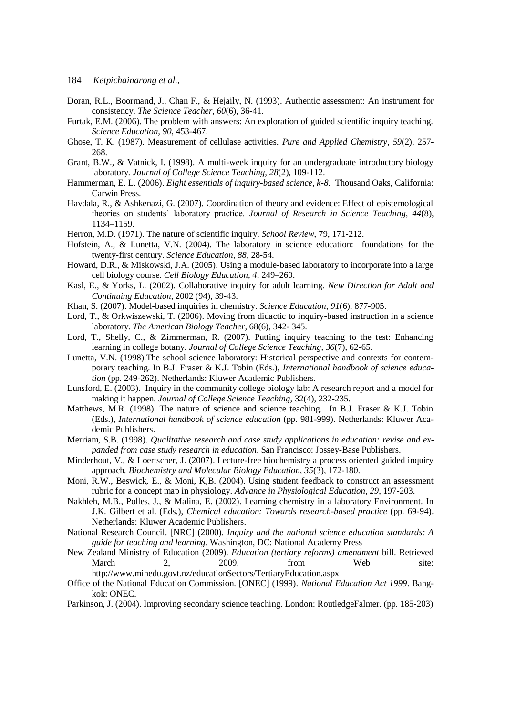- Doran, R.L., Boormand, J., Chan F., & Hejaily, N. (1993). Authentic assessment: An instrument for consistency. *The Science Teacher, 60*(6), 36-41.
- Furtak, E.M. (2006). The problem with answers: An exploration of guided scientific inquiry teaching. *Science Education, 90*, 453-467.
- Ghose, T. K. (1987). Measurement of cellulase activities. *Pure and Applied Chemistry, 59*(2), 257- 268.
- Grant, B.W., & Vatnick, I. (1998). A multi-week inquiry for an undergraduate introductory biology laboratory*. Journal of College Science Teaching, 28*(2), 109-112.
- Hammerman, E. L. (2006). *Eight essentials of inquiry-based science, k-8*. Thousand Oaks, California: Carwin Press.
- Havdala, R., & Ashkenazi, G. (2007). Coordination of theory and evidence: Effect of epistemological theories on students' laboratory practice. *Journal of Research in Science Teaching, 44*(8), 1134–1159.
- Herron, M.D. (1971). The nature of scientific inquiry. *School Review*, 79, 171-212.
- Hofstein, A., & Lunetta, V.N. (2004). The laboratory in science education: foundations for the twenty-first century. *Science Education, 88*, 28-54.
- Howard, D.R., & Miskowski, J.A. (2005). Using a module-based laboratory to incorporate into a large cell biology course. *Cell Biology Education, 4*, 249–260.
- Kasl, E., & Yorks, L. (2002). Collaborative inquiry for adult learning. *New Direction for Adult and Continuing Education*, 2002 (94), 39-43.
- Khan, S. (2007). Model-based inquiries in chemistry. *Science Education*, *91*(6), 877-905.
- Lord, T., & Orkwiszewski, T. (2006). Moving from didactic to inquiry-based instruction in a science laboratory. *The American Biology Teacher,* 68(6), 342- 345.
- Lord, T., Shelly, C., & Zimmerman, R. (2007). Putting inquiry teaching to the test: Enhancing learning in college botany. *Journal of College Science Teaching, 36*(7), 62-65.
- Lunetta, V.N. (1998).The school science laboratory: Historical perspective and contexts for contemporary teaching. In B.J. Fraser & K.J. Tobin (Eds.), *International handbook of science education* (pp. 249-262). Netherlands: Kluwer Academic Publishers.
- Lunsford, E. (2003). Inquiry in the community college biology lab: A research report and a model for making it happen. *Journal of College Science Teaching,* 32(4), 232-235.
- Matthews, M.R. (1998). The nature of science and science teaching. In B.J. Fraser & K.J. Tobin (Eds.), *International handbook of science education* (pp. 981-999). Netherlands: Kluwer Academic Publishers.
- Merriam, S.B. (1998). *Qualitative research and case study applications in education: revise and expanded from case study research in education*. San Francisco: Jossey-Base Publishers.
- Minderhout, V., & Loertscher, J. (2007). Lecture-free biochemistry a process oriented guided inquiry approach*. Biochemistry and Molecular Biology Education*, *35*(3), 172-180.
- Moni, R.W., Beswick, E., & Moni, K,B. (2004). Using student feedback to construct an assessment rubric for a concept map in physiology. *Advance in Physiological Education, 29*, 197-203.
- Nakhleh, M.B., Polles, J., & Malina, E. (2002). Learning chemistry in a laboratory Environment. In J.K. Gilbert et al. (Eds.), *Chemical education: Towards research-based practice* (pp. 69-94). Netherlands: Kluwer Academic Publishers.
- National Research Council. [NRC] (2000). *Inquiry and the national science education standards: A guide for teaching and learning*. Washington, DC: National Academy Press
- New Zealand Ministry of Education (2009). *Education (tertiary reforms) amendment* bill. Retrieved March 2, 2009, from Web site: http://www.minedu.govt.nz/educationSectors/TertiaryEducation.aspx
- Office of the National Education Commission. [ONEC] (1999). *National Education Act 1999*. Bangkok: ONEC.
- Parkinson, J. (2004). Improving secondary science teaching. London: RoutledgeFalmer. (pp. 185-203)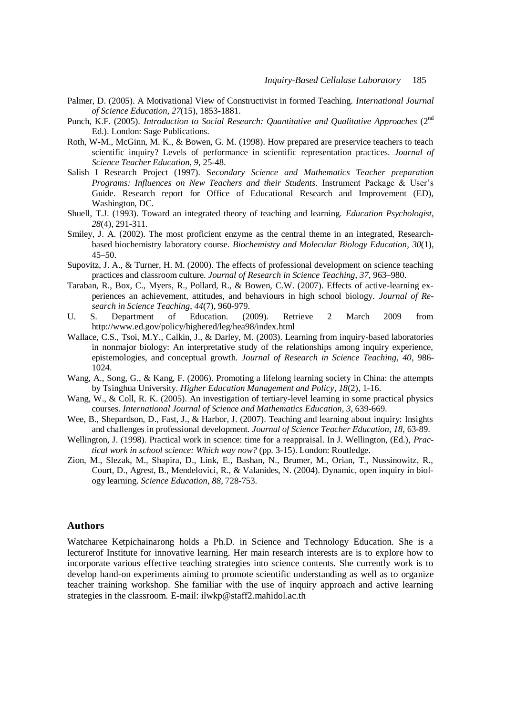- Palmer, D. (2005). A Motivational View of Constructivist in formed Teaching. *International Journal of Science Education, 27*(15), 1853-1881.
- Punch, K.F. (2005). *Introduction to Social Research: Quantitative and Qualitative Approaches* (2<sup>nd</sup> Ed.). London: Sage Publications.
- Roth, W-M., McGinn, M. K., & Bowen, G. M. (1998). How prepared are preservice teachers to teach scientific inquiry? Levels of performance in scientific representation practices. *Journal of Science Teacher Education, 9*, 25-48.
- Salish I Research Project (1997). S*econdary Science and Mathematics Teacher preparation Programs: Influences on New Teachers and their Students*. Instrument Package & User's Guide. Research report for Office of Educational Research and Improvement (ED), Washington, DC.
- Shuell, T.J. (1993). Toward an integrated theory of teaching and learning. *Education Psychologist, 28*(4), 291-311.
- Smiley, J. A. (2002). The most proficient enzyme as the central theme in an integrated, Researchbased biochemistry laboratory course. *Biochemistry and Molecular Biology Education*, *30*(1), 45–50.
- Supovitz, J. A., & Turner, H. M. (2000). The effects of professional development on science teaching practices and classroom culture. *Journal of Research in Science Teaching*, *37,* 963–980.
- Taraban, R., Box, C., Myers, R., Pollard, R., & Bowen, C.W. (2007). Effects of active-learning experiences an achievement, attitudes, and behaviours in high school biology. *Journal of Research in Science Teaching*, *44*(7), 960-979.
- U. S. Department of Education. (2009). Retrieve 2 March 2009 from http://www.ed.gov/policy/highered/leg/hea98/index.html
- Wallace, C.S., Tsoi, M.Y., Calkin, J., & Darley, M. (2003). Learning from inquiry-based laboratories in nonmajor biology: An interpretative study of the relationships among inquiry experience, epistemologies, and conceptual growth. *Journal of Research in Science Teaching, 40*, 986- 1024.
- Wang, A., Song, G., & Kang, F. (2006). Promoting a lifelong learning society in China: the attempts by Tsinghua University. *Higher Education Management and Policy, 18*(2), 1-16.
- Wang, W., & Coll, R. K. (2005). An investigation of tertiary-level learning in some practical physics courses. *International Journal of Science and Mathematics Education, 3*, 639-669.
- Wee, B., Shepardson, D., Fast, J., & Harbor, J. (2007). Teaching and learning about inquiry: Insights and challenges in professional development*. Journal of Science Teacher Education, 18*, 63-89.
- Wellington, J. (1998). Practical work in science: time for a reappraisal. In J. Wellington, (Ed.), *Practical work in school science: Which way now?* (pp. 3-15). London: Routledge.
- Zion, M., Slezak, M., Shapira, D., Link, E., Bashan, N., Brumer, M., Orian, T., Nussinowitz, R., Court, D., Agrest, B., Mendelovici, R., & Valanides, N. (2004). Dynamic, open inquiry in biology learning. *Science Education*, *88*, 728-753.

## **Authors**

Watcharee Ketpichainarong holds a Ph.D. in Science and Technology Education. She is a lecturerof Institute for innovative learning. Her main research interests are is to explore how to incorporate various effective teaching strategies into science contents. She currently work is to develop hand-on experiments aiming to promote scientific understanding as well as to organize teacher training workshop. She familiar with the use of inquiry approach and active learning strategies in the classroom. E-mail: ilwkp@staff2.mahidol.ac.th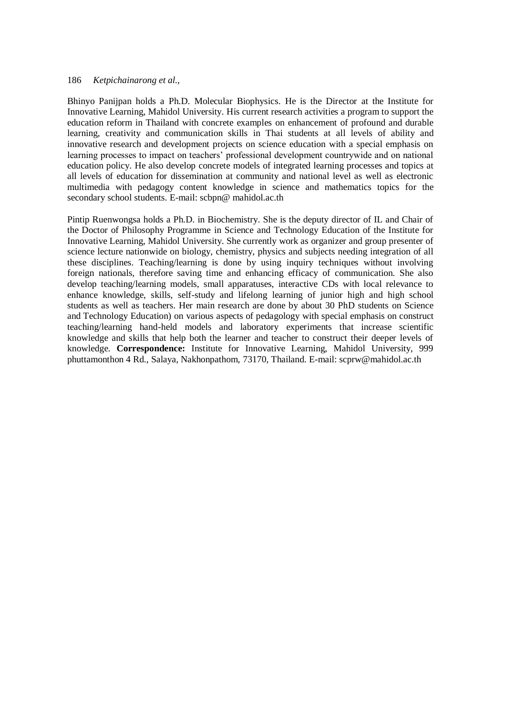Bhinyo Panijpan holds a Ph.D. Molecular Biophysics. He is the Director at the Institute for Innovative Learning, Mahidol University. His current research activities a program to support the education reform in Thailand with concrete examples on enhancement of profound and durable learning, creativity and communication skills in Thai students at all levels of ability and innovative research and development projects on science education with a special emphasis on learning processes to impact on teachers' professional development countrywide and on national education policy. He also develop concrete models of integrated learning processes and topics at all levels of education for dissemination at community and national level as well as electronic multimedia with pedagogy content knowledge in science and mathematics topics for the secondary school students. E-mail: scbpn@ mahidol.ac.th

Pintip Ruenwongsa holds a Ph.D. in Biochemistry. She is the deputy director of IL and Chair of the Doctor of Philosophy Programme in Science and Technology Education of the Institute for Innovative Learning, Mahidol University. She currently work as organizer and group presenter of science lecture nationwide on biology, chemistry, physics and subjects needing integration of all these disciplines. Teaching/learning is done by using inquiry techniques without involving foreign nationals, therefore saving time and enhancing efficacy of communication. She also develop teaching/learning models, small apparatuses, interactive CDs with local relevance to enhance knowledge, skills, self-study and lifelong learning of junior high and high school students as well as teachers. Her main research are done by about 30 PhD students on Science and Technology Education) on various aspects of pedagology with special emphasis on construct teaching/learning hand-held models and laboratory experiments that increase scientific knowledge and skills that help both the learner and teacher to construct their deeper levels of knowledge. **Correspondence:** Institute for Innovative Learning, Mahidol University, 999 phuttamonthon 4 Rd., Salaya, Nakhonpathom, 73170, Thailand. E-mail: scprw@mahidol.ac.th